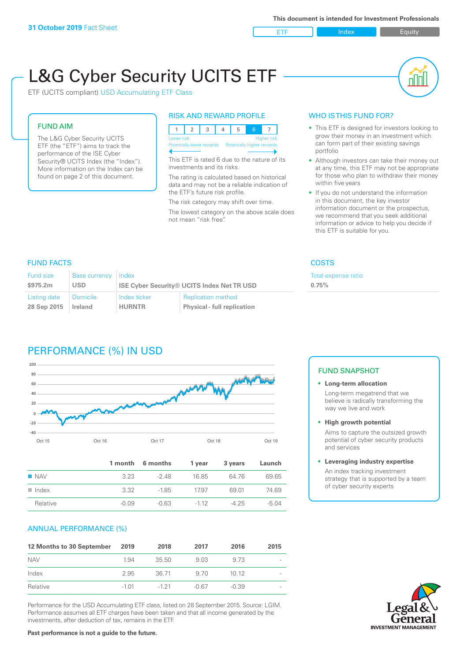ETF Index Buity

nl M

# L&G Cyber Security UCITS ETF

ETF (UCITS compliant) USD Accumulating ETF Class

# FUND AIM

The L&G Cyber Security UCITS ETF (the "ETF") aims to track the performance of the ISE Cyber Security® UCITS Index (the "Index"). More information on the Index can be found on page 2 of this document.

# RISK AND REWARD PROFILE

| Lower risk<br><b>Higher risk</b> |  |  |  |  |                                                      |  |  |  |  |
|----------------------------------|--|--|--|--|------------------------------------------------------|--|--|--|--|
|                                  |  |  |  |  | Potentially lower rewards Potentially higher rewards |  |  |  |  |
|                                  |  |  |  |  |                                                      |  |  |  |  |

This ETF is rated 6 due to the nature of its investments and its risks.

The rating is calculated based on historical data and may not be a reliable indication of the ETF's future risk profile.

The risk category may shift over time. The lowest category on the above scale does not mean "risk free".

# WHO IS THIS FUND FOR?

- This ETF is designed for investors looking to grow their money in an investment which can form part of their existing savings portfolio
- Although investors can take their money out at any time, this ETF may not be appropriate for those who plan to withdraw their money within five years
- If you do not understand the information in this document, the key investor information document or the prospectus, we recommend that you seek additional information or advice to help you decide if this ETF is suitable for you.

**0.75%**

Total expense ratio

# FUND FACTS COSTS

| Fund size<br>\$975.2m | Base currency Index<br>USD |               | <b>ISE Cyber Security® UCITS Index Net TR USD</b> |
|-----------------------|----------------------------|---------------|---------------------------------------------------|
| Listing date          | Domicile                   | Index ticker  | <b>Replication method</b>                         |
| 28 Sep 2015           | Ireland                    | <b>HURNTR</b> | <b>Physical - full replication</b>                |

# PERFORMANCE (%) IN USD



|                      |         | 1 month 6 months | 1 year | 3 years | Launch |
|----------------------|---------|------------------|--------|---------|--------|
| $\blacksquare$ NAV   | 323     | -2 48            | 16.85  | 64 76   | 69.65  |
| $\blacksquare$ Index | 332     | $-1.85$          | 17.97  | 69.01   | 74.69  |
| Relative             | $-0.09$ | $-0.63$          | $-112$ | -4 25   | -5.04  |

# ANNUAL PERFORMANCE (%)

| 12 Months to 30 September | 2019    | 2018     | 2017  | 2016    | 2015 |
|---------------------------|---------|----------|-------|---------|------|
| <b>NAV</b>                | 1.94    | 35.50    | 9.03  | 9.73    |      |
| Index                     | 2.95    | 36.71    | 9.70  | 1012    |      |
| Relative                  | $-1.01$ | $-1, 21$ | -0.67 | $-0.39$ |      |

Performance for the USD Accumulating ETF class, listed on 28 September 2015. Source: LGIM. Performance assumes all ETF charges have been taken and that all income generated by the investments, after deduction of tax, remains in the ETF.

# FUND SNAPSHOT

## **• Long-term allocation** Long-term megatrend that we believe is radically transforming the way we live and work

**• High growth potential**

Aims to capture the outsized growth potential of cyber security products and services

## **• Leveraging industry expertise**

An index tracking investment strategy that is supported by a team of cyber security experts



# **Past performance is not a guide to the future.**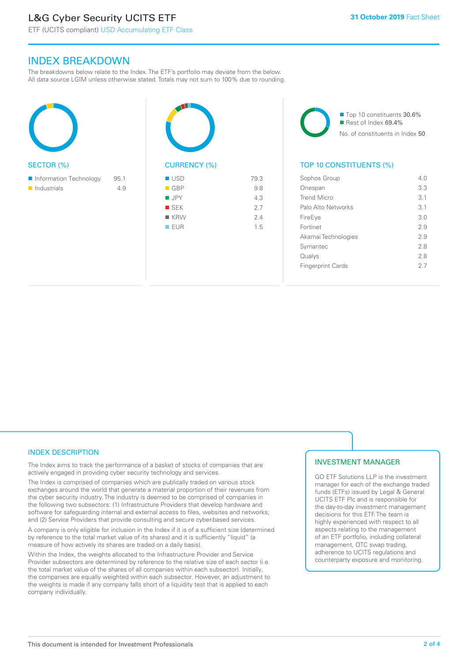# L&G Cyber Security UCITS ETF

ETF (UCITS compliant) USD Accumulating ETF Class

# INDEX BREAKDOWN

The breakdowns below relate to the Index. The ETF's portfolio may deviate from the below. All data source LGIM unless otherwise stated. Totals may not sum to 100% due to rounding.

| <b>SECTOR (%)</b>                                    |             | <b>CURRENCY</b>                                                         |
|------------------------------------------------------|-------------|-------------------------------------------------------------------------|
| Information Technology<br>$\blacksquare$ Industrials | 95.1<br>4.9 | <b>USD</b><br>$\blacksquare$ GBP<br>■ JPY<br>SEK<br>■ KRW<br><b>EUR</b> |

 $(9/6)$ 79.3  $\blacksquare$  GBP 9.8  $I = JPY$  4.3  $S$  SEK 2.7  $\blacksquare$  KRW 2.4 **n** EUR 1.5

■ Top 10 constituents 30.6%  $\blacksquare$  Rest of Index 69.4% No. of constituents in Index 50

# TOP 10 CONSTITUENTS (%)

| Sophos Group             | 4 N |
|--------------------------|-----|
| Onespan                  | 3.3 |
| <b>Trend Micro</b>       | 31  |
| Palo Alto Networks       | 3.1 |
| FireEye                  | 30  |
| Fortinet                 | 2.9 |
| Akamai Technologies      | 29  |
| Symantec                 | 2.8 |
| Qualys                   | 28  |
| <b>Fingerprint Cards</b> | 27  |
|                          |     |

# INDEX DESCRIPTION

The Index aims to track the performance of a basket of stocks of companies that are actively engaged in providing cyber security technology and services.

The Index is comprised of companies which are publically traded on various stock exchanges around the world that generate a material proportion of their revenues from the cyber security industry. The industry is deemed to be comprised of companies in the following two subsectors: (1) Infrastructure Providers that develop hardware and software for safeguarding internal and external access to files, websites and networks; and (2) Service Providers that provide consulting and secure cyber-based services.

A company is only eligible for inclusion in the Index if it is of a sufficient size (determined by reference to the total market value of its shares) and it is sufficiently "liquid" (a measure of how actively its shares are traded on a daily basis).

Within the Index, the weights allocated to the Infrastructure Provider and Service Provider subsectors are determined by reference to the relative size of each sector (i.e. the total market value of the shares of all companies within each subsector). Initially, the companies are equally weighted within each subsector. However, an adjustment to the weights is made if any company falls short of a liquidity test that is applied to each company individually.

# INVESTMENT MANAGER

GO ETF Solutions LLP is the investment manager for each of the exchange traded funds (ETFs) issued by Legal & General UCITS ETF Plc and is responsible for the day-to-day investment management decisions for this ETF. The team is highly experienced with respect to all aspects relating to the management of an ETF portfolio, including collateral management, OTC swap trading, adherence to UCITS regulations and counterparty exposure and monitoring.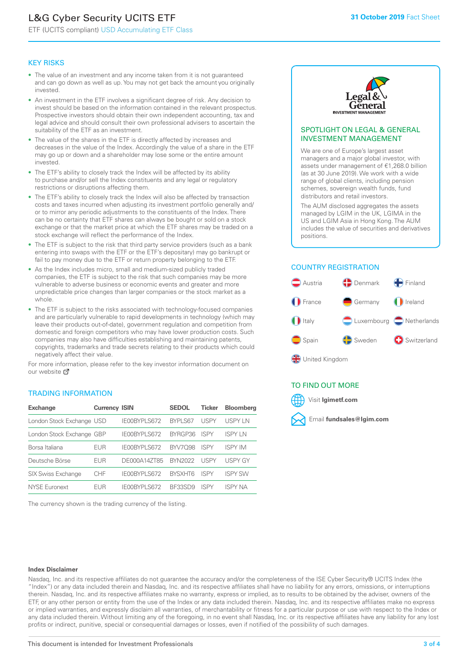# L&G Cyber Security UCITS ETF

ETF (UCITS compliant) USD Accumulating ETF Class

# KEY RISKS

- The value of an investment and any income taken from it is not guaranteed and can go down as well as up. You may not get back the amount you originally invested.
- An investment in the ETF involves a significant degree of risk. Any decision to invest should be based on the information contained in the relevant prospectus. Prospective investors should obtain their own independent accounting, tax and legal advice and should consult their own professional advisers to ascertain the suitability of the ETF as an investment.
- The value of the shares in the ETF is directly affected by increases and decreases in the value of the Index. Accordingly the value of a share in the ETF may go up or down and a shareholder may lose some or the entire amount invested.
- The ETF's ability to closely track the Index will be affected by its ability to purchase and/or sell the Index constituents and any legal or regulatory restrictions or disruptions affecting them.
- The ETF's ability to closely track the Index will also be affected by transaction costs and taxes incurred when adjusting its investment portfolio generally and/ or to mirror any periodic adjustments to the constituents of the Index. There can be no certainty that ETF shares can always be bought or sold on a stock exchange or that the market price at which the ETF shares may be traded on a stock exchange will reflect the performance of the Index.
- The ETF is subject to the risk that third party service providers (such as a bank entering into swaps with the ETF or the ETF's depositary) may go bankrupt or fail to pay money due to the ETF or return property belonging to the ETF.
- As the Index includes micro, small and medium-sized publicly traded companies, the ETF is subject to the risk that such companies may be more vulnerable to adverse business or economic events and greater and more unpredictable price changes than larger companies or the stock market as a whole.
- The ETF is subject to the risks associated with technology-focused companies and are particularly vulnerable to rapid developments in technology (which may leave their products out-of-date), government regulation and competition from domestic and foreign competitors who may have lower production costs. Such companies may also have difficulties establishing and maintaining patents, copyrights, trademarks and trade secrets relating to their products which could negatively affect their value.

For more information, please refer to the key investor information document on our website Ø

# TRADING INFORMATION

| <b>Exchange</b>           | <b>Currency ISIN</b> |              | <b>SEDOL</b>   | <b>Ticker</b> | <b>Bloomberg</b> |
|---------------------------|----------------------|--------------|----------------|---------------|------------------|
| London Stock Exchange USD |                      | IE00BYPLS672 | <b>BYPLS67</b> | USPY          | <b>USPYLN</b>    |
| London Stock Exchange GBP |                      | IE00BYPLS672 | BYRGP36        | <b>ISPY</b>   | <b>ISPY IN</b>   |
| Borsa Italiana            | EUR                  | IE00BYPLS672 | <b>BYV7098</b> | <b>ISPY</b>   | <b>ISPY IM</b>   |
| Deutsche Börse            | EUR                  | DE000A14ZT85 | <b>BYN2022</b> | USPY          | <b>USPY GY</b>   |
| <b>SIX Swiss Exchange</b> | <b>CHF</b>           | IE00BYPLS672 | <b>RYSXHT6</b> | <b>ISPY</b>   | <b>ISPY SW</b>   |
| NYSE Euronext             | <b>FUR</b>           | IE00BYPLS672 | <b>BE33SD9</b> | ISPY          | <b>ISPY NA</b>   |

The currency shown is the trading currency of the listing.



# SPOTLIGHT ON LEGAL & GENERAL INVESTMENT MANAGEMENT

We are one of Europe's largest asset managers and a major global investor, with assets under management of €1,268.0 billion (as at 30 June 2019). We work with a wide range of global clients, including pension schemes, sovereign wealth funds, fund distributors and retail investors.

The AUM disclosed aggregates the assets managed by LGIM in the UK, LGIMA in the US and LGIM Asia in Hong Kong. The AUM includes the value of securities and derivatives positions.

# COUNTRY REGISTRATION



# TO FIND OUT MORE



#### **Index Disclaimer**

Nasdaq, Inc. and its respective affiliates do not guarantee the accuracy and/or the completeness of the ISE Cyber Security® UCITS Index (the "Index") or any data included therein and Nasdaq, Inc. and its respective affiliates shall have no liability for any errors, omissions, or interruptions therein. Nasdaq, Inc. and its respective affiliates make no warranty, express or implied, as to results to be obtained by the adviser, owners of the ETF, or any other person or entity from the use of the Index or any data included therein. Nasdaq, Inc. and its respective affiliates make no express or implied warranties, and expressly disclaim all warranties, of merchantability or fitness for a particular purpose or use with respect to the Index or any data included therein. Without limiting any of the foregoing, in no event shall Nasdaq, Inc. or its respective affiliates have any liability for any lost profits or indirect, punitive, special or consequential damages or losses, even if notified of the possibility of such damages.